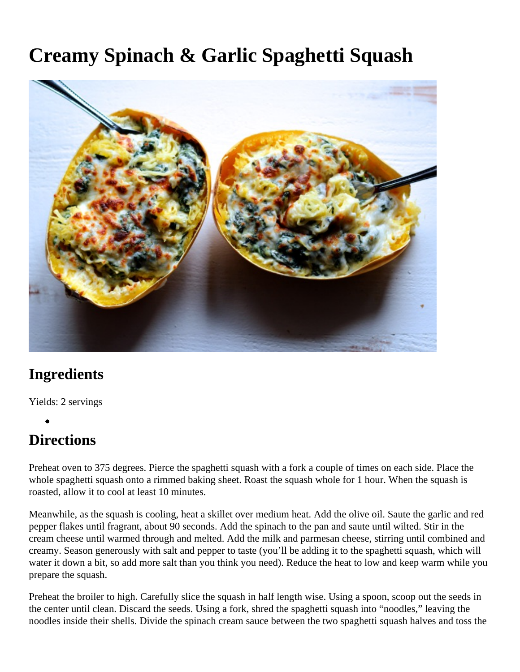## **Creamy Spinach & Garlic Spaghetti Squash**



## **Ingredients**

Yields: 2 servings

## **Directions**

Preheat oven to 375 degrees. Pierce the spaghetti squash with a fork a couple of times on each side. Place the whole spaghetti squash onto a rimmed baking sheet. Roast the squash whole for 1 hour. When the squash is roasted, allow it to cool at least 10 minutes.

Meanwhile, as the squash is cooling, heat a skillet over medium heat. Add the olive oil. Saute the garlic and red pepper flakes until fragrant, about 90 seconds. Add the spinach to the pan and saute until wilted. Stir in the cream cheese until warmed through and melted. Add the milk and parmesan cheese, stirring until combined and creamy. Season generously with salt and pepper to taste (you'll be adding it to the spaghetti squash, which will water it down a bit, so add more salt than you think you need). Reduce the heat to low and keep warm while you prepare the squash.

Preheat the broiler to high. Carefully slice the squash in half length wise. Using a spoon, scoop out the seeds in the center until clean. Discard the seeds. Using a fork, shred the spaghetti squash into "noodles," leaving the noodles inside their shells. Divide the spinach cream sauce between the two spaghetti squash halves and toss the